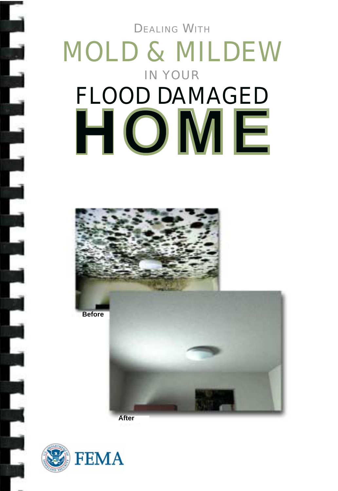**DEALING WITH** 

# MOLD & MILDEW IN YOUR FLOOD DAMAGED **HOME**



**Before** 



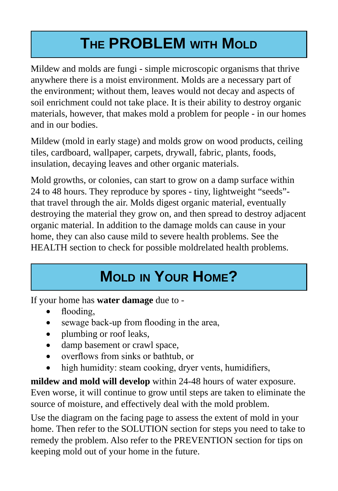# **THE PROBLEM WITH MOLD**

Mildew and molds are fungi - simple microscopic organisms that thrive anywhere there is a moist environment. Molds are a necessary part of the environment; without them, leaves would not decay and aspects of soil enrichment could not take place. It is their ability to destroy organic materials, however, that makes mold a problem for people - in our homes and in our bodies.

Mildew (mold in early stage) and molds grow on wood products, ceiling tiles, cardboard, wallpaper, carpets, drywall, fabric, plants, foods, insulation, decaying leaves and other organic materials.

Mold growths, or colonies, can start to grow on a damp surface within 24 to 48 hours. They reproduce by spores - tiny, lightweight "seeds" that travel through the air. Molds digest organic material, eventually destroying the material they grow on, and then spread to destroy adjacent organic material. In addition to the damage molds can cause in your home, they can also cause mild to severe health problems. See the HEALTH section to check for possible moldrelated health problems.

## **MOLD IN YOUR HOME?**

If your home has **water damage** due to -

- flooding,
- sewage back-up from flooding in the area,
- plumbing or roof leaks,
- damp basement or crawl space,
- overflows from sinks or bathtub, or
- high humidity: steam cooking, dryer vents, humidifiers,

**mildew and mold will develop** within 24-48 hours of water exposure. Even worse, it will continue to grow until steps are taken to eliminate the source of moisture, and effectively deal with the mold problem.

Use the diagram on the facing page to assess the extent of mold in your home. Then refer to the SOLUTION section for steps you need to take to remedy the problem. Also refer to the PREVENTION section for tips on keeping mold out of your home in the future.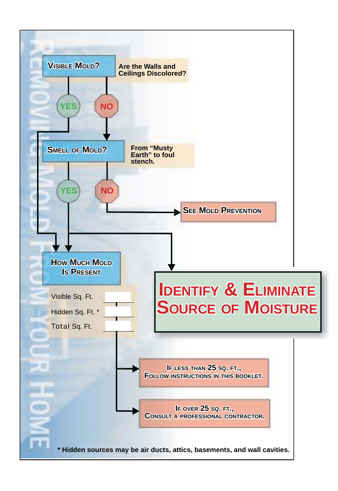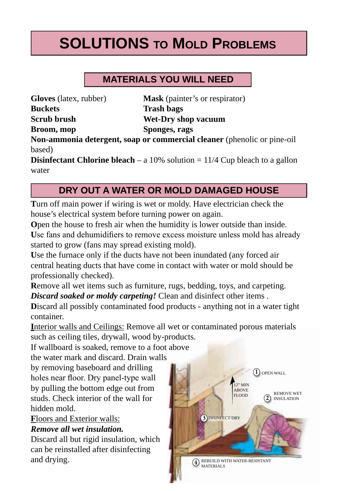# **SOLUTIONS TO MOLD PROBLEMS**

#### **MaTeRiaLS YOu wiLL need**

**Gloves** (latex, rubber) **Mask** (painter's or respirator) **Buckets Trash bags Scrub brush Wet-Dry shop vacuum Broom, mop Sponges, rags** 

**Non-ammonia detergent, soap or commercial cleaner** (phenolic or pine-oil based)

**Disinfectant Chlorine bleach** – a 10% solution  $= 11/4$  Cup bleach to a gallon water

#### **DRY OUT A WATER OR MOLD DAMAGED HOUSE**

**T**urn off main power if wiring is wet or moldy. Have electrician check the house's electrical system before turning power on again.

**O**pen the house to fresh air when the humidity is lower outside than inside. **U**se fans and dehumidifiers to remove excess moisture unless mold has already started to grow (fans may spread existing mold).

**U**se the furnace only if the ducts have not been inundated (any forced air central heating ducts that have come in contact with water or mold should be professionally checked).

**R**emove all wet items such as furniture, rugs, bedding, toys, and carpeting. *Discard soaked or moldy carpeting!* Clean and disinfect other items .

**D**iscard all possibly contaminated food products - anything not in a water tight container.

**I**nterior walls and Ceilings: Remove all wet or contaminated porous materials such as ceiling tiles, drywall, wood by-products.

If wallboard is soaked, remove to a foot above

the water mark and discard. Drain walls

by removing baseboard and drilling holes near floor. Dry panel-type wall by pulling the bottom edge out from studs. Check interior of the wall for hidden mold.

#### **F**loors and Exterior walls: *Remove all wet insulation.*

Discard all but rigid insulation, which can be reinstalled after disinfecting and drying.

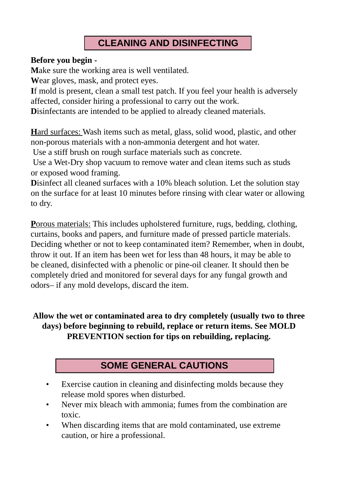#### **cLeaninG and diSinfecTinG**

#### **Before you begin -**

**M**ake sure the working area is well ventilated.

**W**ear gloves, mask, and protect eyes.

**I**f mold is present, clean a small test patch. If you feel your health is adversely affected, consider hiring a professional to carry out the work.

**D**isinfectants are intended to be applied to already cleaned materials.

**H**ard surfaces: Wash items such as metal, glass, solid wood, plastic, and other non-porous materials with a non-ammonia detergent and hot water.

Use a stiff brush on rough surface materials such as concrete.

 Use a Wet-Dry shop vacuum to remove water and clean items such as studs or exposed wood framing.

**D**isinfect all cleaned surfaces with a 10% bleach solution. Let the solution stay on the surface for at least 10 minutes before rinsing with clear water or allowing to dry.

**P**orous materials: This includes upholstered furniture, rugs, bedding, clothing, curtains, books and papers, and furniture made of pressed particle materials. Deciding whether or not to keep contaminated item? Remember, when in doubt, throw it out. If an item has been wet for less than 48 hours, it may be able to be cleaned, disinfected with a phenolic or pine-oil cleaner. It should then be completely dried and monitored for several days for any fungal growth and odors– if any mold develops, discard the item.

**Allow the wet or contaminated area to dry completely (usually two to three days) before beginning to rebuild, replace or return items. See MOLD PREVENTION section for tips on rebuilding, replacing.** 

#### **SOME GENERAL CAUTIONS**

- Exercise caution in cleaning and disinfecting molds because they release mold spores when disturbed.
- Never mix bleach with ammonia; fumes from the combination are toxic.
- When discarding items that are mold contaminated, use extreme caution, or hire a professional.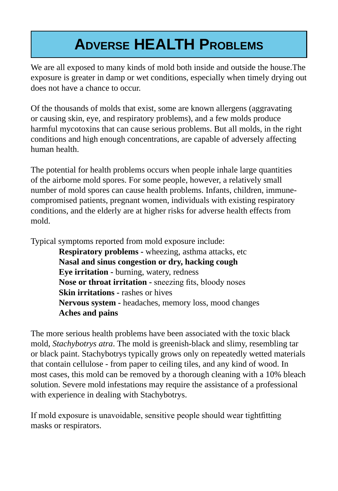# **ADVERSE HEALTH PROBLEMS**

We are all exposed to many kinds of mold both inside and outside the house.The exposure is greater in damp or wet conditions, especially when timely drying out does not have a chance to occur.

Of the thousands of molds that exist, some are known allergens (aggravating or causing skin, eye, and respiratory problems), and a few molds produce harmful mycotoxins that can cause serious problems. But all molds, in the right conditions and high enough concentrations, are capable of adversely affecting human health.

The potential for health problems occurs when people inhale large quantities of the airborne mold spores. For some people, however, a relatively small number of mold spores can cause health problems. Infants, children, immunecompromised patients, pregnant women, individuals with existing respiratory conditions, and the elderly are at higher risks for adverse health effects from mold.

Typical symptoms reported from mold exposure include:

**Respiratory problems -** wheezing, asthma attacks, etc **Nasal and sinus congestion or dry, hacking cough Eye irritation -** burning, watery, redness **Nose or throat irritation -** sneezing fits, bloody noses **Skin irritations -** rashes or hives **Nervous system -** headaches, memory loss, mood changes **Aches and pains** 

The more serious health problems have been associated with the toxic black mold, *Stachybotrys atra*. The mold is greenish-black and slimy, resembling tar or black paint. Stachybotrys typically grows only on repeatedly wetted materials that contain cellulose - from paper to ceiling tiles, and any kind of wood. In most cases, this mold can be removed by a thorough cleaning with a 10% bleach solution. Severe mold infestations may require the assistance of a professional with experience in dealing with Stachybotrys.

If mold exposure is unavoidable, sensitive people should wear tightfitting masks or respirators.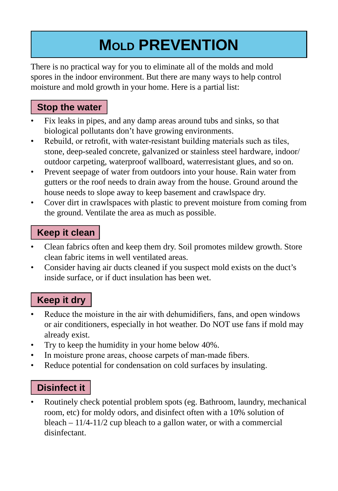# **MOLd PReVenTiOn**

There is no practical way for you to eliminate all of the molds and mold spores in the indoor environment. But there are many ways to help control moisture and mold growth in your home. Here is a partial list:

#### **Stop the water**

- Fix leaks in pipes, and any damp areas around tubs and sinks, so that biological pollutants don't have growing environments.
- Rebuild, or retrofit, with water-resistant building materials such as tiles, stone, deep-sealed concrete, galvanized or stainless steel hardware, indoor/ outdoor carpeting, waterproof wallboard, waterresistant glues, and so on.
- Prevent seepage of water from outdoors into your house. Rain water from gutters or the roof needs to drain away from the house. Ground around the house needs to slope away to keep basement and crawlspace dry.
- Cover dirt in crawlspaces with plastic to prevent moisture from coming from the ground. Ventilate the area as much as possible.

#### **Keep it clean**

- Clean fabrics often and keep them dry. Soil promotes mildew growth. Store clean fabric items in well ventilated areas.
- Consider having air ducts cleaned if you suspect mold exists on the duct's inside surface, or if duct insulation has been wet.

#### **Keep it dry**

- Reduce the moisture in the air with dehumidifiers, fans, and open windows or air conditioners, especially in hot weather. Do NOT use fans if mold may already exist.
- Try to keep the humidity in your home below 40%.
- In moisture prone areas, choose carpets of man-made fibers.
- Reduce potential for condensation on cold surfaces by insulating.

#### **Disinfect it**

• Routinely check potential problem spots (eg. Bathroom, laundry, mechanical room, etc) for moldy odors, and disinfect often with a 10% solution of bleach – 11/4-11/2 cup bleach to a gallon water, or with a commercial disinfectant.